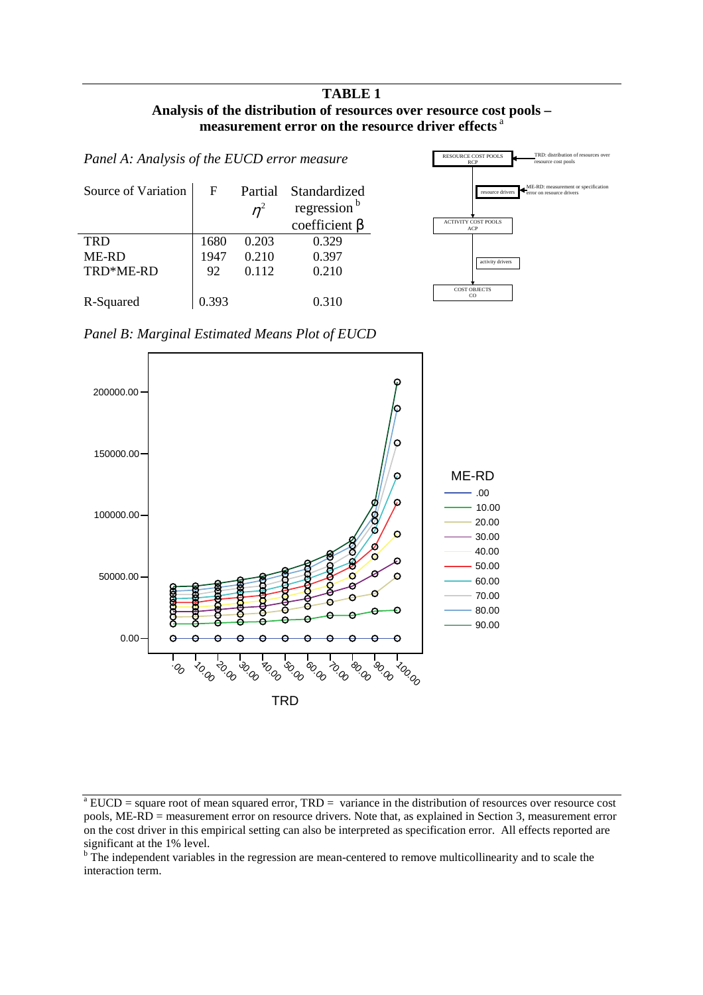#### **TABLE 1 Analysis of the distribution of resources over resource cost pools – measurement error on the resource driver effects** <sup>a</sup>

| Panel A: Analysis of the EUCD error measure |       |                  |                                                                |  |
|---------------------------------------------|-------|------------------|----------------------------------------------------------------|--|
| Source of Variation                         | F     | Partial<br>$n^2$ | Standardized<br>regression <sup>b</sup><br>coefficient $\beta$ |  |
| <b>TRD</b>                                  | 1680  | 0.203            | 0.329                                                          |  |
| <b>ME-RD</b>                                | 1947  | 0.210            | 0.397                                                          |  |
| TRD*ME-RD                                   | 92    | 0.112            | 0.210                                                          |  |
| R-Squared                                   | በ 393 |                  | 0.310                                                          |  |



*Panel B: Marginal Estimated Means Plot of EUCD* 



significant at the 1% level.<br><sup>b</sup> The independent variables in the regression are mean-centered to remove multicollinearity and to scale the interaction term.

 $^{\circ}$  EUCD = square root of mean squared error, TRD = variance in the distribution of resources over resource cost pools, ME-RD = measurement error on resource drivers. Note that, as explained in Section 3, measurement error on the cost driver in this empirical setting can also be interpreted as specification error. All effects reported are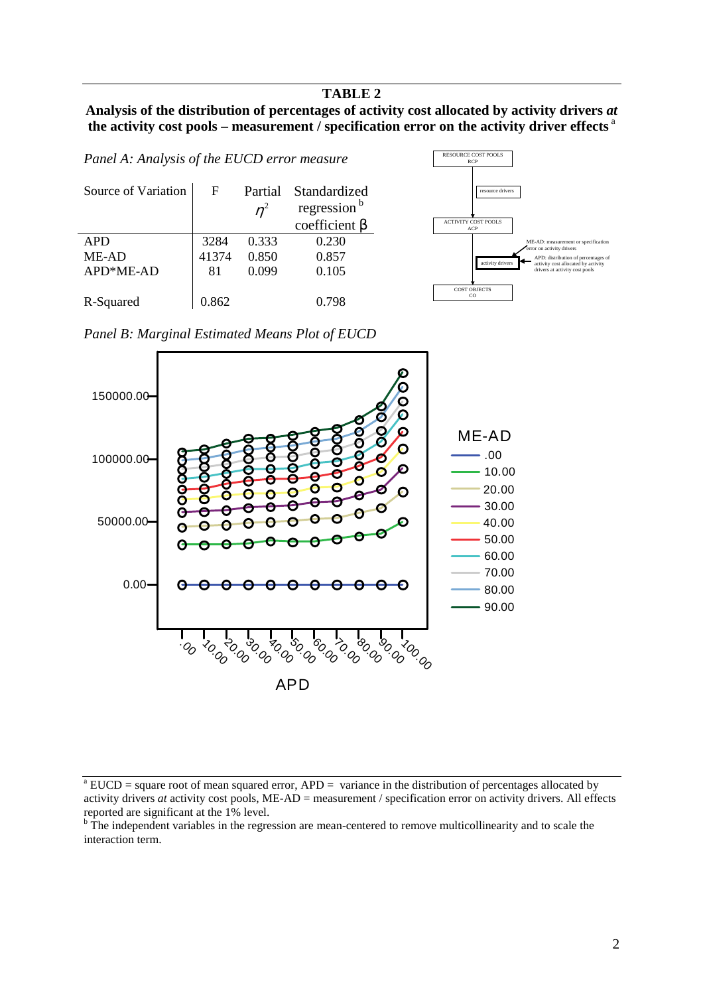#### **TABLE 2**

# **Analysis of the distribution of percentages of activity cost allocated by activity drivers** *at* **the activity cost pools – measurement / specification error on the activity driver effects** <sup>a</sup>

*Panel A: Analysis of the EUCD error measure*  Source of Variation F Partial  $\eta^2$ Standardized regression<sup>b</sup> coefficient  $β$ <br>0.230 APD 3284 0.333 ME-AD  $|41374 \t 0.850 \t 0.857$ APD\*ME-AD | 81 0.099 0.105 R-Squared 0.862 0.798



*Panel B: Marginal Estimated Means Plot of EUCD* 



 $^{\circ}$  EUCD = square root of mean squared error, APD = variance in the distribution of percentages allocated by activity drivers *at* activity cost pools, ME-AD = measurement / specification error on activity drivers. All effects reported are significant at the 1% level.

<sup>&</sup>lt;sup>b</sup> The independent variables in the regression are mean-centered to remove multicollinearity and to scale the interaction term.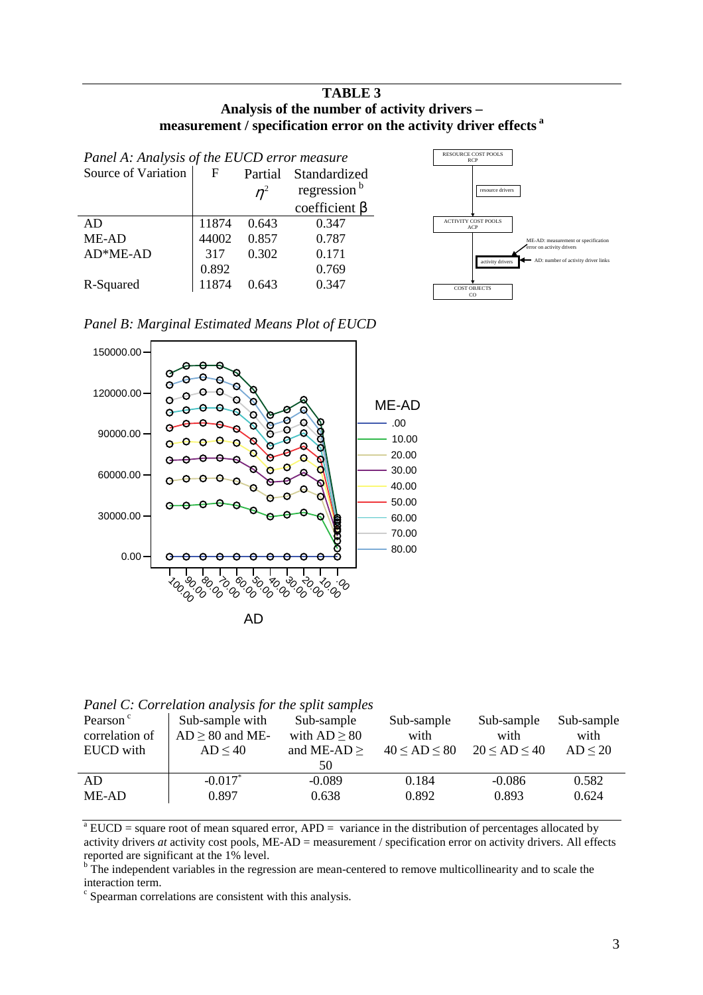### **TABLE 3 Analysis of the number of activity drivers – measurement / specification error on the activity driver effects <sup>a</sup>**

| Panel A: Analysis of the EUCD error measure |       |         |                         |  |
|---------------------------------------------|-------|---------|-------------------------|--|
| Source of Variation                         | F     | Partial | Standardized            |  |
|                                             |       | $n^2$   | regression <sup>b</sup> |  |
|                                             |       |         | coefficient $\beta$     |  |
| AD                                          | 11874 | 0.643   | 0.347                   |  |
| ME-AD                                       | 44002 | 0.857   | 0.787                   |  |
| $AD*ME-AD$                                  | 317   | 0.302   | 0.171                   |  |
|                                             | 0.892 |         | 0.769                   |  |
| R-Squared                                   | 11874 | 0.643   | 0.347                   |  |



*Panel B: Marginal Estimated Means Plot of EUCD* 



*Panel C: Correlation analysis for the split samples*

| Pearson <sup>c</sup><br>correlation of<br>EUCD with | Sub-sample with<br>$AD \ge 80$ and ME-<br>$AD \leq 40$ | Sub-sample<br>with $AD \geq 80$<br>and ME-AD $\geq$<br>50 | Sub-sample<br>with<br>$40 \le AD \le 80$ | Sub-sample<br>with<br>$20 \le AD \le 40$ | Sub-sample<br>with<br>$AD \leq 20$ |
|-----------------------------------------------------|--------------------------------------------------------|-----------------------------------------------------------|------------------------------------------|------------------------------------------|------------------------------------|
| AD                                                  | $-0.017^*$                                             | $-0.089$                                                  | 0.184                                    | $-0.086$                                 | 0.582                              |
| ME-AD                                               | 0.897                                                  | 0.638                                                     | 0.892                                    | 0.893                                    | 0.624                              |

 $^{\circ}$  EUCD = square root of mean squared error, APD = variance in the distribution of percentages allocated by activity drivers *at* activity cost pools, ME-AD = measurement / specification error on activity drivers. All effects reported are significant at the 1% level.<br><sup>b</sup> The independent variables in the regression are mean-centered to remove multicollinearity and to scale the

interaction term.

c Spearman correlations are consistent with this analysis.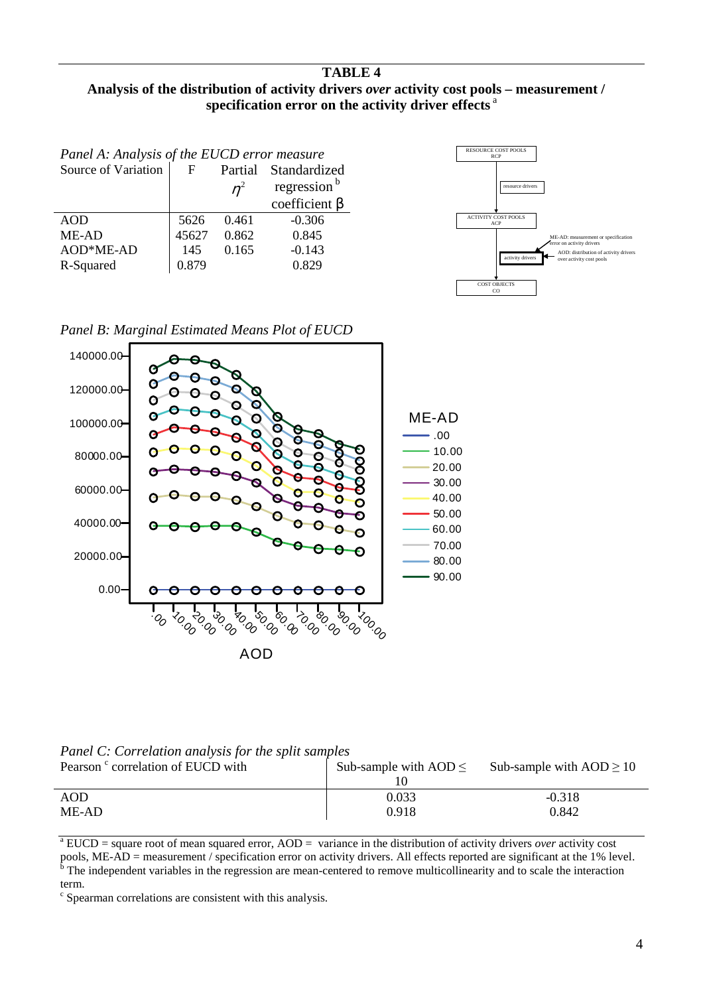# **TABLE 4**

# **Analysis of the distribution of activity drivers** *over* **activity cost pools – measurement / specification error on the activity driver effects** <sup>a</sup>

| Panel A: Analysis of the EUCD error measure |       |       |                         |  |
|---------------------------------------------|-------|-------|-------------------------|--|
| Source of Variation                         | F     |       | Partial Standardized    |  |
|                                             |       | $n^2$ | regression <sup>b</sup> |  |
|                                             |       |       | coefficient $\beta$     |  |
| <b>AOD</b>                                  | 5626  | 0.461 | $-0.306$                |  |
| ME-AD                                       | 45627 | 0.862 | 0.845                   |  |
| AOD*ME-AD                                   | 145   | 0.165 | $-0.143$                |  |
| R-Squared                                   | 0.879 |       | 0.829                   |  |
|                                             |       |       |                         |  |







*Panel C: Correlation analysis for the split samples*

| Pearson <sup>c</sup> correlation of EUCD with | Sub-sample with $AOD \leq$ | Sub-sample with $AOD \ge 10$ |
|-----------------------------------------------|----------------------------|------------------------------|
| AOD                                           | 0.033                      | $-0.318$                     |
| ME-AD                                         | 0.918                      | 0.842                        |

 $^{\circ}$ EUCD = square root of mean squared error, AOD = variance in the distribution of activity drivers *over* activity cost pools, ME-AD = measurement / specification error on activity drivers. All effects reported are significant at the 1% level. The independent variables in the regression are mean-centered to remove multicollinearity and to scale the interaction term.

c Spearman correlations are consistent with this analysis.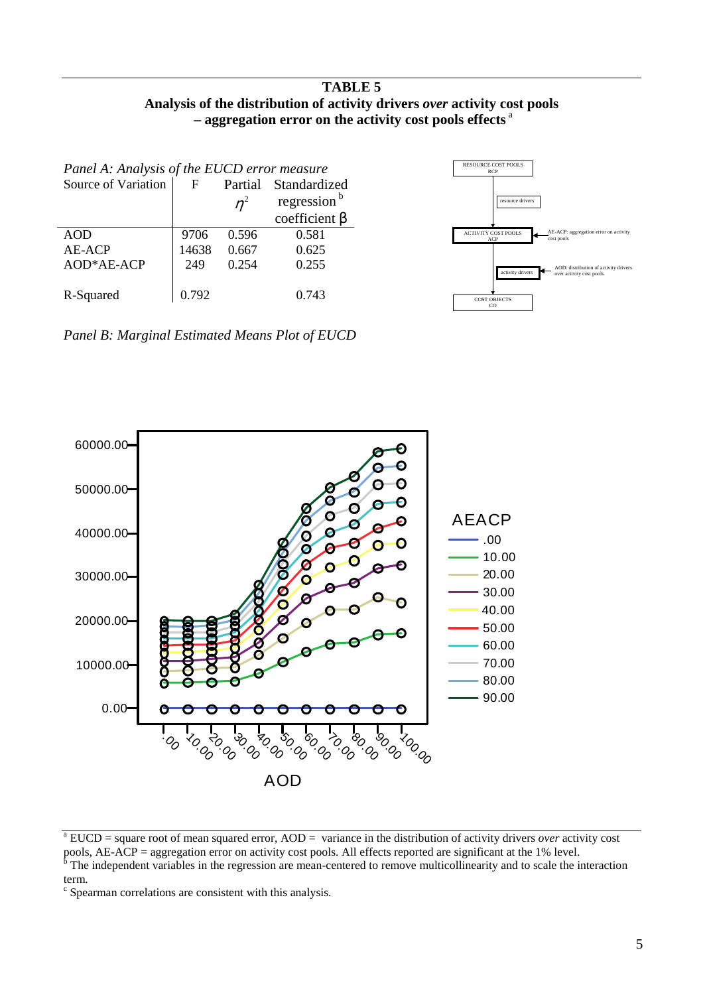# **TABLE 5 Analysis of the distribution of activity drivers** *over* **activity cost pools – aggregation error on the activity cost pools effects** <sup>a</sup>

| Panel A: Analysis of the EUCD error measure |              |       |                         |
|---------------------------------------------|--------------|-------|-------------------------|
| Source of Variation                         | F<br>Partial |       | Standardized            |
|                                             |              | $n^2$ | regression <sup>b</sup> |
|                                             |              |       | coefficient $\beta$     |
| AOD                                         | 9706         | 0.596 | 0.581                   |
| AE-ACP                                      | 14638        | 0.667 | 0.625                   |
| AOD*AE-ACP                                  | 249          | 0.254 | 0.255                   |
| R-Squared                                   | 0.792        |       | 0.743                   |



*Panel B: Marginal Estimated Means Plot of EUCD* 



 $^{\circ}$ EUCD = square root of mean squared error, AOD = variance in the distribution of activity drivers *over* activity cost

pools, AE-ACP = aggregation error on activity cost pools. All effects reported are significant at the 1% level.<br><sup>b</sup> The independent variables in the regression are mean-centered to remove multicollinearity and to scale th term.

c Spearman correlations are consistent with this analysis.